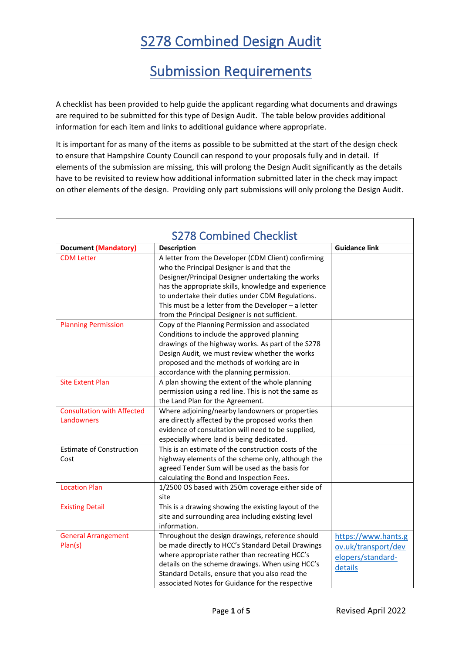## S278 Combined Design Audit

## Submission Requirements

A checklist has been provided to help guide the applicant regarding what documents and drawings are required to be submitted for this type of Design Audit. The table below provides additional information for each item and links to additional guidance where appropriate.

It is important for as many of the items as possible to be submitted at the start of the design check to ensure that Hampshire County Council can respond to your proposals fully and in detail. If elements of the submission are missing, this will prolong the Design Audit significantly as the details have to be revisited to review how additional information submitted later in the check may impact on other elements of the design. Providing only part submissions will only prolong the Design Audit.

| <b>S278 Combined Checklist</b>                  |                                                                                                                                                                                                                                                                                                                                                                               |                                                                            |  |
|-------------------------------------------------|-------------------------------------------------------------------------------------------------------------------------------------------------------------------------------------------------------------------------------------------------------------------------------------------------------------------------------------------------------------------------------|----------------------------------------------------------------------------|--|
| <b>Document (Mandatory)</b>                     | <b>Description</b>                                                                                                                                                                                                                                                                                                                                                            | <b>Guidance link</b>                                                       |  |
| <b>CDM</b> Letter                               | A letter from the Developer (CDM Client) confirming<br>who the Principal Designer is and that the<br>Designer/Principal Designer undertaking the works<br>has the appropriate skills, knowledge and experience<br>to undertake their duties under CDM Regulations.<br>This must be a letter from the Developer $-$ a letter<br>from the Principal Designer is not sufficient. |                                                                            |  |
| <b>Planning Permission</b>                      | Copy of the Planning Permission and associated<br>Conditions to include the approved planning<br>drawings of the highway works. As part of the S278<br>Design Audit, we must review whether the works<br>proposed and the methods of working are in<br>accordance with the planning permission.                                                                               |                                                                            |  |
| <b>Site Extent Plan</b>                         | A plan showing the extent of the whole planning<br>permission using a red line. This is not the same as<br>the Land Plan for the Agreement.                                                                                                                                                                                                                                   |                                                                            |  |
| <b>Consultation with Affected</b><br>Landowners | Where adjoining/nearby landowners or properties<br>are directly affected by the proposed works then<br>evidence of consultation will need to be supplied,<br>especially where land is being dedicated.                                                                                                                                                                        |                                                                            |  |
| <b>Estimate of Construction</b><br>Cost         | This is an estimate of the construction costs of the<br>highway elements of the scheme only, although the<br>agreed Tender Sum will be used as the basis for<br>calculating the Bond and Inspection Fees.                                                                                                                                                                     |                                                                            |  |
| <b>Location Plan</b>                            | 1/2500 OS based with 250m coverage either side of<br>site                                                                                                                                                                                                                                                                                                                     |                                                                            |  |
| <b>Existing Detail</b>                          | This is a drawing showing the existing layout of the<br>site and surrounding area including existing level<br>information.                                                                                                                                                                                                                                                    |                                                                            |  |
| <b>General Arrangement</b><br>Plan(s)           | Throughout the design drawings, reference should<br>be made directly to HCC's Standard Detail Drawings<br>where appropriate rather than recreating HCC's<br>details on the scheme drawings. When using HCC's<br>Standard Details, ensure that you also read the<br>associated Notes for Guidance for the respective                                                           | https://www.hants.g<br>ov.uk/transport/dev<br>elopers/standard-<br>details |  |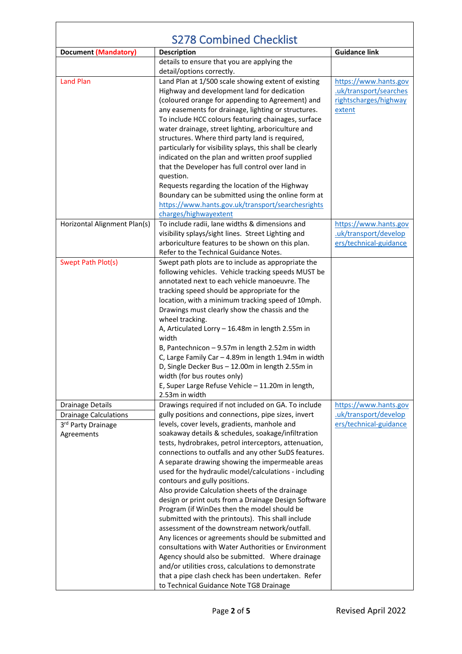| <b>S278 Combined Checklist</b> |                                                                                        |                        |
|--------------------------------|----------------------------------------------------------------------------------------|------------------------|
| <b>Document (Mandatory)</b>    | <b>Description</b>                                                                     | <b>Guidance link</b>   |
|                                | details to ensure that you are applying the                                            |                        |
|                                | detail/options correctly.                                                              |                        |
| <b>Land Plan</b>               | Land Plan at 1/500 scale showing extent of existing                                    | https://www.hants.gov  |
|                                | Highway and development land for dedication                                            | .uk/transport/searches |
|                                | (coloured orange for appending to Agreement) and                                       | rightscharges/highway  |
|                                | any easements for drainage, lighting or structures.                                    | extent                 |
|                                | To include HCC colours featuring chainages, surface                                    |                        |
|                                | water drainage, street lighting, arboriculture and                                     |                        |
|                                | structures. Where third party land is required,                                        |                        |
|                                | particularly for visibility splays, this shall be clearly                              |                        |
|                                | indicated on the plan and written proof supplied                                       |                        |
|                                | that the Developer has full control over land in                                       |                        |
|                                | question.                                                                              |                        |
|                                | Requests regarding the location of the Highway                                         |                        |
|                                | Boundary can be submitted using the online form at                                     |                        |
|                                | https://www.hants.gov.uk/transport/searchesrights                                      |                        |
|                                | charges/highwayextent                                                                  |                        |
| Horizontal Alignment Plan(s)   | To include radii, lane widths & dimensions and                                         | https://www.hants.gov  |
|                                | visibility splays/sight lines. Street Lighting and                                     | uk/transport/develop   |
|                                | arboriculture features to be shown on this plan.                                       | ers/technical-guidance |
|                                | Refer to the Technical Guidance Notes.                                                 |                        |
| Swept Path Plot(s)             | Swept path plots are to include as appropriate the                                     |                        |
|                                | following vehicles. Vehicle tracking speeds MUST be                                    |                        |
|                                | annotated next to each vehicle manoeuvre. The                                          |                        |
|                                | tracking speed should be appropriate for the                                           |                        |
|                                | location, with a minimum tracking speed of 10mph.                                      |                        |
|                                | Drawings must clearly show the chassis and the                                         |                        |
|                                | wheel tracking.                                                                        |                        |
|                                | A, Articulated Lorry - 16.48m in length 2.55m in                                       |                        |
|                                | width                                                                                  |                        |
|                                | B, Pantechnicon - 9.57m in length 2.52m in width                                       |                        |
|                                | C, Large Family Car - 4.89m in length 1.94m in width                                   |                        |
|                                | D, Single Decker Bus - 12.00m in length 2.55m in                                       |                        |
|                                | width (for bus routes only)                                                            |                        |
|                                | E, Super Large Refuse Vehicle - 11.20m in length,                                      |                        |
|                                | 2.53m in width                                                                         |                        |
| Drainage Details               | Drawings required if not included on GA. To include                                    | https://www.hants.gov  |
| <b>Drainage Calculations</b>   | gully positions and connections, pipe sizes, invert                                    | .uk/transport/develop  |
| 3rd Party Drainage             | levels, cover levels, gradients, manhole and                                           | ers/technical-guidance |
| Agreements                     | soakaway details & schedules, soakage/infiltration                                     |                        |
|                                | tests, hydrobrakes, petrol interceptors, attenuation,                                  |                        |
|                                | connections to outfalls and any other SuDS features.                                   |                        |
|                                | A separate drawing showing the impermeable areas                                       |                        |
|                                | used for the hydraulic model/calculations - including<br>contours and gully positions. |                        |
|                                | Also provide Calculation sheets of the drainage                                        |                        |
|                                | design or print outs from a Drainage Design Software                                   |                        |
|                                | Program (if WinDes then the model should be                                            |                        |
|                                | submitted with the printouts). This shall include                                      |                        |
|                                | assessment of the downstream network/outfall.                                          |                        |
|                                | Any licences or agreements should be submitted and                                     |                        |
|                                | consultations with Water Authorities or Environment                                    |                        |
|                                | Agency should also be submitted. Where drainage                                        |                        |
|                                | and/or utilities cross, calculations to demonstrate                                    |                        |
|                                | that a pipe clash check has been undertaken. Refer                                     |                        |
|                                | to Technical Guidance Note TG8 Drainage                                                |                        |
|                                |                                                                                        |                        |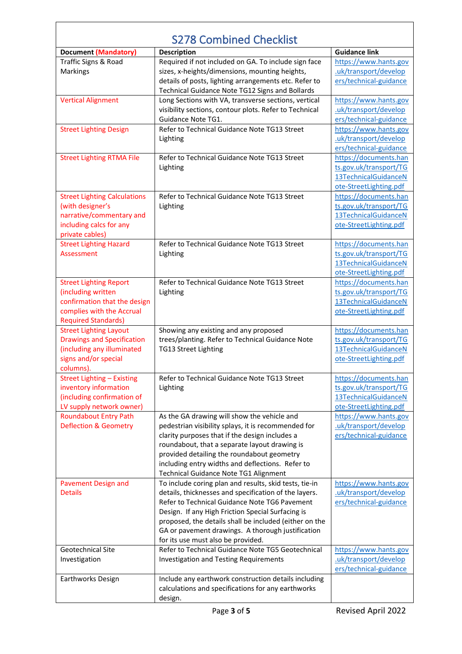| <b>S278 Combined Checklist</b>      |                                                        |                        |  |
|-------------------------------------|--------------------------------------------------------|------------------------|--|
| <b>Document (Mandatory)</b>         | <b>Description</b>                                     | <b>Guidance link</b>   |  |
| Traffic Signs & Road                | Required if not included on GA. To include sign face   | https://www.hants.gov  |  |
| Markings                            | sizes, x-heights/dimensions, mounting heights,         | .uk/transport/develop  |  |
|                                     | details of posts, lighting arrangements etc. Refer to  | ers/technical-guidance |  |
|                                     | Technical Guidance Note TG12 Signs and Bollards        |                        |  |
| <b>Vertical Alignment</b>           | Long Sections with VA, transverse sections, vertical   | https://www.hants.gov  |  |
|                                     | visibility sections, contour plots. Refer to Technical | .uk/transport/develop  |  |
|                                     | Guidance Note TG1.                                     | ers/technical-guidance |  |
| <b>Street Lighting Design</b>       | Refer to Technical Guidance Note TG13 Street           | https://www.hants.gov  |  |
|                                     |                                                        | .uk/transport/develop  |  |
|                                     | Lighting                                               | ers/technical-guidance |  |
| <b>Street Lighting RTMA File</b>    | Refer to Technical Guidance Note TG13 Street           | https://documents.han  |  |
|                                     |                                                        |                        |  |
|                                     | Lighting                                               | ts.gov.uk/transport/TG |  |
|                                     |                                                        | 13TechnicalGuidanceN   |  |
|                                     |                                                        | ote-StreetLighting.pdf |  |
| <b>Street Lighting Calculations</b> | Refer to Technical Guidance Note TG13 Street           | https://documents.han  |  |
| (with designer's                    | Lighting                                               | ts.gov.uk/transport/TG |  |
| narrative/commentary and            |                                                        | 13TechnicalGuidanceN   |  |
| including calcs for any             |                                                        | ote-StreetLighting.pdf |  |
| private cables)                     |                                                        |                        |  |
| <b>Street Lighting Hazard</b>       | Refer to Technical Guidance Note TG13 Street           | https://documents.han  |  |
| Assessment                          | Lighting                                               | ts.gov.uk/transport/TG |  |
|                                     |                                                        | 13TechnicalGuidanceN   |  |
|                                     |                                                        | ote-StreetLighting.pdf |  |
| <b>Street Lighting Report</b>       | Refer to Technical Guidance Note TG13 Street           | https://documents.han  |  |
| (including written                  | Lighting                                               | ts.gov.uk/transport/TG |  |
| confirmation that the design        |                                                        | 13TechnicalGuidanceN   |  |
| complies with the Accrual           |                                                        | ote-StreetLighting.pdf |  |
| <b>Required Standards)</b>          |                                                        |                        |  |
| <b>Street Lighting Layout</b>       | Showing any existing and any proposed                  | https://documents.han  |  |
| <b>Drawings and Specification</b>   | trees/planting. Refer to Technical Guidance Note       | ts.gov.uk/transport/TG |  |
| (including any illuminated          | TG13 Street Lighting                                   | 13TechnicalGuidanceN   |  |
| signs and/or special                |                                                        | ote-StreetLighting.pdf |  |
| columns).                           |                                                        |                        |  |
| <b>Street Lighting - Existing</b>   | Refer to Technical Guidance Note TG13 Street           | https://documents.han  |  |
| inventory information               | Lighting                                               | ts.gov.uk/transport/TG |  |
| (including confirmation of          |                                                        | 13TechnicalGuidanceN   |  |
| LV supply network owner)            |                                                        | ote-StreetLighting.pdf |  |
| <b>Roundabout Entry Path</b>        | As the GA drawing will show the vehicle and            | https://www.hants.gov  |  |
| <b>Deflection &amp; Geometry</b>    | pedestrian visibility splays, it is recommended for    | uk/transport/develop   |  |
|                                     | clarity purposes that if the design includes a         | ers/technical-guidance |  |
|                                     | roundabout, that a separate layout drawing is          |                        |  |
|                                     | provided detailing the roundabout geometry             |                        |  |
|                                     | including entry widths and deflections. Refer to       |                        |  |
|                                     | Technical Guidance Note TG1 Alignment                  |                        |  |
| <b>Pavement Design and</b>          | To include coring plan and results, skid tests, tie-in | https://www.hants.gov  |  |
| <b>Details</b>                      | details, thicknesses and specification of the layers.  | uk/transport/develop   |  |
|                                     | Refer to Technical Guidance Note TG6 Pavement          | ers/technical-guidance |  |
|                                     | Design. If any High Friction Special Surfacing is      |                        |  |
|                                     | proposed, the details shall be included (either on the |                        |  |
|                                     | GA or pavement drawings. A thorough justification      |                        |  |
|                                     | for its use must also be provided.                     |                        |  |
| Geotechnical Site                   | Refer to Technical Guidance Note TG5 Geotechnical      | https://www.hants.gov  |  |
| Investigation                       | <b>Investigation and Testing Requirements</b>          | .uk/transport/develop  |  |
|                                     |                                                        | ers/technical-guidance |  |
| Earthworks Design                   | Include any earthwork construction details including   |                        |  |
|                                     | calculations and specifications for any earthworks     |                        |  |
|                                     | design.                                                |                        |  |

<u> 1989 - Johann Barn, mars eta biztanleria (</u>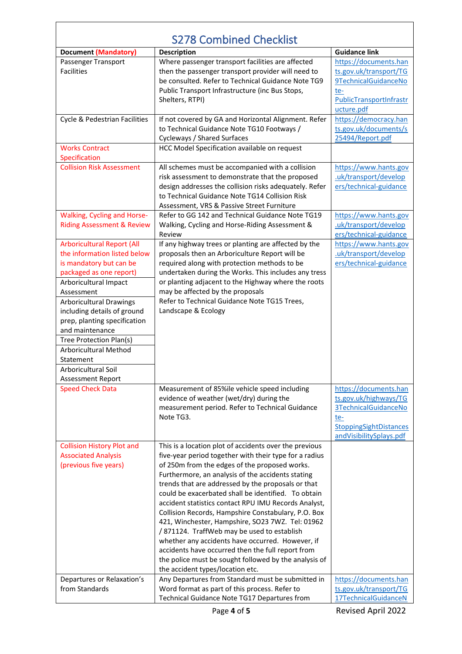| <b>S278 Combined Checklist</b>        |                                                                                                           |                               |
|---------------------------------------|-----------------------------------------------------------------------------------------------------------|-------------------------------|
| <b>Document (Mandatory)</b>           | <b>Description</b>                                                                                        | <b>Guidance link</b>          |
| Passenger Transport                   | Where passenger transport facilities are affected                                                         | https://documents.han         |
| <b>Facilities</b>                     | then the passenger transport provider will need to                                                        | ts.gov.uk/transport/TG        |
|                                       | be consulted. Refer to Technical Guidance Note TG9                                                        | 9TechnicalGuidanceNo          |
|                                       | Public Transport Infrastructure (inc Bus Stops,                                                           | te-                           |
|                                       | Shelters, RTPI)                                                                                           | PublicTransportInfrastr       |
|                                       |                                                                                                           | ucture.pdf                    |
| Cycle & Pedestrian Facilities         | If not covered by GA and Horizontal Alignment. Refer                                                      | https://democracy.han         |
|                                       | to Technical Guidance Note TG10 Footways /                                                                | ts.gov.uk/documents/s         |
|                                       | Cycleways / Shared Surfaces                                                                               | 25494/Report.pdf              |
| <b>Works Contract</b>                 | HCC Model Specification available on request                                                              |                               |
| Specification                         |                                                                                                           |                               |
| <b>Collision Risk Assessment</b>      | All schemes must be accompanied with a collision                                                          | https://www.hants.gov         |
|                                       | risk assessment to demonstrate that the proposed                                                          | .uk/transport/develop         |
|                                       | design addresses the collision risks adequately. Refer                                                    | ers/technical-guidance        |
|                                       | to Technical Guidance Note TG14 Collision Risk<br>Assessment, VRS & Passive Street Furniture              |                               |
| <b>Walking, Cycling and Horse-</b>    | Refer to GG 142 and Technical Guidance Note TG19                                                          | https://www.hants.gov         |
| <b>Riding Assessment &amp; Review</b> | Walking, Cycling and Horse-Riding Assessment &                                                            | .uk/transport/develop         |
|                                       | Review                                                                                                    | ers/technical-guidance        |
| <b>Arboricultural Report (All</b>     | If any highway trees or planting are affected by the                                                      | https://www.hants.gov         |
| the information listed below          | proposals then an Arboriculture Report will be                                                            | .uk/transport/develop         |
| is mandatory but can be               | required along with protection methods to be                                                              | ers/technical-guidance        |
| packaged as one report)               | undertaken during the Works. This includes any tress                                                      |                               |
| Arboricultural Impact                 | or planting adjacent to the Highway where the roots                                                       |                               |
| Assessment                            | may be affected by the proposals                                                                          |                               |
| <b>Arboricultural Drawings</b>        | Refer to Technical Guidance Note TG15 Trees,                                                              |                               |
| including details of ground           | Landscape & Ecology                                                                                       |                               |
| prep, planting specification          |                                                                                                           |                               |
| and maintenance                       |                                                                                                           |                               |
| Tree Protection Plan(s)               |                                                                                                           |                               |
| Arboricultural Method                 |                                                                                                           |                               |
| Statement<br>Arboricultural Soil      |                                                                                                           |                               |
| <b>Assessment Report</b>              |                                                                                                           |                               |
| <b>Speed Check Data</b>               | Measurement of 85%ile vehicle speed including                                                             | https://documents.han         |
|                                       | evidence of weather (wet/dry) during the                                                                  | ts.gov.uk/highways/TG         |
|                                       | measurement period. Refer to Technical Guidance                                                           | 3TechnicalGuidanceNo          |
|                                       | Note TG3.                                                                                                 | te-                           |
|                                       |                                                                                                           | <b>StoppingSightDistances</b> |
|                                       |                                                                                                           | andVisibilitySplays.pdf       |
| <b>Collision History Plot and</b>     | This is a location plot of accidents over the previous                                                    |                               |
| <b>Associated Analysis</b>            | five-year period together with their type for a radius                                                    |                               |
| (previous five years)                 | of 250m from the edges of the proposed works.                                                             |                               |
|                                       | Furthermore, an analysis of the accidents stating                                                         |                               |
|                                       | trends that are addressed by the proposals or that<br>could be exacerbated shall be identified. To obtain |                               |
|                                       | accident statistics contact RPU IMU Records Analyst,                                                      |                               |
|                                       | Collision Records, Hampshire Constabulary, P.O. Box                                                       |                               |
|                                       | 421, Winchester, Hampshire, SO23 7WZ. Tel: 01962                                                          |                               |
|                                       | /871124. TraffWeb may be used to establish                                                                |                               |
|                                       | whether any accidents have occurred. However, if                                                          |                               |
|                                       | accidents have occurred then the full report from                                                         |                               |
|                                       | the police must be sought followed by the analysis of                                                     |                               |
|                                       | the accident types/location etc.                                                                          |                               |
| Departures or Relaxation's            | Any Departures from Standard must be submitted in                                                         | https://documents.han         |
| from Standards                        | Word format as part of this process. Refer to                                                             | ts.gov.uk/transport/TG        |
|                                       | Technical Guidance Note TG17 Departures from                                                              | 17TechnicalGuidanceN          |

<u> 1980 - Johann Barn, mars ann an t-Amhain Aonaich an t-Aonaich an t-Aonaich ann an t-Aonaich ann an t-Aonaich</u>